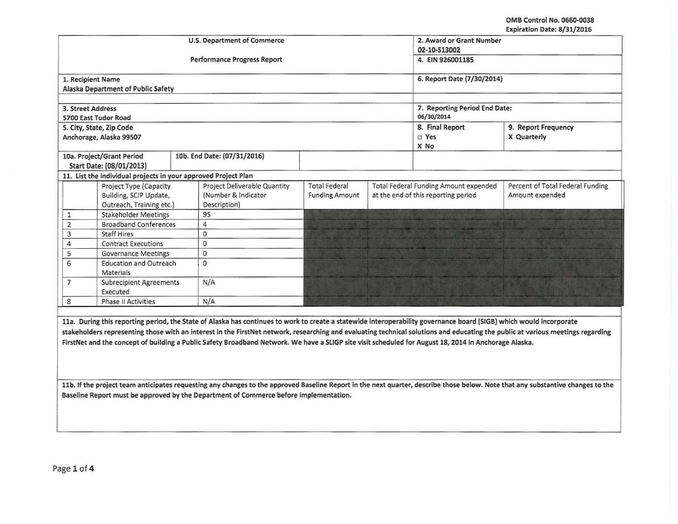OMB Control No. 0660-0038 Expiration Date: 8/31/2016

|                                                                                                                                                                     |                                            | <b>U.S. Department of Commerce</b>                                                                                                                                              | 2. Award or Grant Number |  |                                              |                                  |  |  |  |
|---------------------------------------------------------------------------------------------------------------------------------------------------------------------|--------------------------------------------|---------------------------------------------------------------------------------------------------------------------------------------------------------------------------------|--------------------------|--|----------------------------------------------|----------------------------------|--|--|--|
|                                                                                                                                                                     |                                            |                                                                                                                                                                                 | 02-10-S13002             |  |                                              |                                  |  |  |  |
|                                                                                                                                                                     |                                            | Performance Progress Report                                                                                                                                                     | 4. EIN 926001185         |  |                                              |                                  |  |  |  |
| 1. Recipient Name                                                                                                                                                   |                                            |                                                                                                                                                                                 |                          |  | 6. Report Date (7/30/2014)                   |                                  |  |  |  |
|                                                                                                                                                                     | Alaska Department of Public Safety         |                                                                                                                                                                                 |                          |  |                                              |                                  |  |  |  |
|                                                                                                                                                                     |                                            |                                                                                                                                                                                 |                          |  |                                              |                                  |  |  |  |
| 3. Street Address                                                                                                                                                   |                                            |                                                                                                                                                                                 |                          |  | 7. Reporting Period End Date:                |                                  |  |  |  |
|                                                                                                                                                                     | 5700 East Tudor Road                       |                                                                                                                                                                                 |                          |  | 06/30/2014                                   |                                  |  |  |  |
|                                                                                                                                                                     | 5. City, State, Zip Code                   |                                                                                                                                                                                 |                          |  | 8. Final Report                              | 9. Report Frequency              |  |  |  |
|                                                                                                                                                                     | Anchorage, Alaska 99507                    |                                                                                                                                                                                 |                          |  | $\square$ Yes                                | X Quarterly                      |  |  |  |
|                                                                                                                                                                     |                                            |                                                                                                                                                                                 |                          |  | X No                                         |                                  |  |  |  |
|                                                                                                                                                                     | 10a. Project/Grant Period                  | 10b. End Date: (07/31/2016)                                                                                                                                                     |                          |  |                                              |                                  |  |  |  |
|                                                                                                                                                                     | Start Date: (08/01/2013)                   |                                                                                                                                                                                 |                          |  |                                              |                                  |  |  |  |
|                                                                                                                                                                     |                                            | 11. List the individual projects in your approved Project Plan                                                                                                                  |                          |  |                                              |                                  |  |  |  |
|                                                                                                                                                                     | Project Type (Capacity                     | <b>Project Deliverable Quantity</b>                                                                                                                                             | <b>Total Federal</b>     |  | <b>Total Federal Funding Amount expended</b> | Percent of Total Federal Funding |  |  |  |
|                                                                                                                                                                     | Building, SCIP Update,                     | (Number & Indicator                                                                                                                                                             | <b>Funding Amount</b>    |  | at the end of this reporting period          | Amount expended                  |  |  |  |
|                                                                                                                                                                     | Outreach, Training etc.)                   | Description)                                                                                                                                                                    |                          |  |                                              |                                  |  |  |  |
| 1                                                                                                                                                                   | <b>Stakeholder Meetings</b>                | 95                                                                                                                                                                              |                          |  |                                              |                                  |  |  |  |
| $\overline{2}$                                                                                                                                                      | <b>Broadband Conferences</b>               | 4                                                                                                                                                                               |                          |  |                                              |                                  |  |  |  |
| 3                                                                                                                                                                   | <b>Staff Hires</b>                         | $\circ$                                                                                                                                                                         |                          |  |                                              |                                  |  |  |  |
| $\overline{4}$                                                                                                                                                      | <b>Contract Executions</b>                 | $\mathbf 0$                                                                                                                                                                     |                          |  |                                              |                                  |  |  |  |
| 5                                                                                                                                                                   |                                            | <b>Governance Meetings</b><br>$\mathbf{0}$                                                                                                                                      |                          |  |                                              |                                  |  |  |  |
| 6                                                                                                                                                                   | <b>Education and Outreach</b><br>Materials | $\Omega$                                                                                                                                                                        |                          |  |                                              |                                  |  |  |  |
| $\overline{7}$                                                                                                                                                      | <b>Subrecipient Agreements</b><br>Executed | N/A                                                                                                                                                                             |                          |  |                                              |                                  |  |  |  |
| 8                                                                                                                                                                   | <b>Phase II Activities</b>                 | N/A                                                                                                                                                                             |                          |  |                                              |                                  |  |  |  |
|                                                                                                                                                                     |                                            |                                                                                                                                                                                 |                          |  |                                              |                                  |  |  |  |
| 11a. During this reporting period, the State of Alaska has continues to work to create a statewide interoperability governance board (SIGB) which would incorporate |                                            |                                                                                                                                                                                 |                          |  |                                              |                                  |  |  |  |
|                                                                                                                                                                     |                                            | stakeholders representing those with an interest in the FirstNet network, researching and evaluating technical solutions and educating the public at various meetings regarding |                          |  |                                              |                                  |  |  |  |
|                                                                                                                                                                     |                                            | FirstNet and the concept of building a Public Safety Broadband Network. We have a SLIGP site visit scheduled for August 18, 2014 in Anchorage Alaska.                           |                          |  |                                              |                                  |  |  |  |
|                                                                                                                                                                     |                                            |                                                                                                                                                                                 |                          |  |                                              |                                  |  |  |  |
|                                                                                                                                                                     |                                            |                                                                                                                                                                                 |                          |  |                                              |                                  |  |  |  |

11b. If the project team anticipates requesting any changes to the approved Baseline Report in the next quarter, describe those below. Note that any substantive changes to the Baseline Report must be approved by the Department of Commerce before implementation.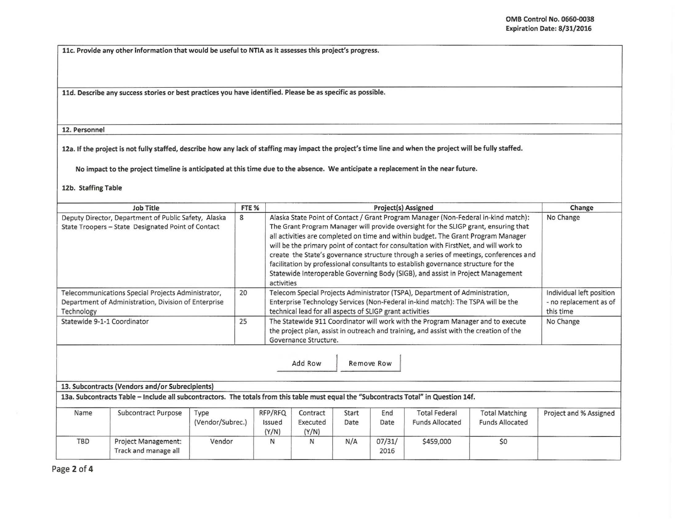I

llc. Provide any other information that would be useful to NTIA as it assesses this project's progress.

11d. Describe any success stories or best practices you have identified. Please be as specific as possible.

12. Personnel

12a. If the project is not fully staffed, describe how any lack of staffing may impact the project's time line and when the project will be fully staffed.

No impact to the project timeline is anticipated at this time due to the absence. We anticipate a replacement in the near future.

## 12b. Staffing Table

| Job Title                                                                                                                | FTE % | <b>Project(s) Assigned</b>                                                                                                                                                                                                                                                                                                                                                                                                                                                                                                                                                                                                              | Change                                                          |
|--------------------------------------------------------------------------------------------------------------------------|-------|-----------------------------------------------------------------------------------------------------------------------------------------------------------------------------------------------------------------------------------------------------------------------------------------------------------------------------------------------------------------------------------------------------------------------------------------------------------------------------------------------------------------------------------------------------------------------------------------------------------------------------------------|-----------------------------------------------------------------|
| Deputy Director, Department of Public Safety, Alaska<br>State Troopers - State Designated Point of Contact               | 8     | Alaska State Point of Contact / Grant Program Manager (Non-Federal in-kind match):<br>The Grant Program Manager will provide oversight for the SLIGP grant, ensuring that<br>all activities are completed on time and within budget. The Grant Program Manager<br>will be the primary point of contact for consultation with FirstNet, and will work to<br>create the State's governance structure through a series of meetings, conferences and<br>facilitation by professional consultants to establish governance structure for the<br>Statewide Interoperable Governing Body (SIGB), and assist in Project Management<br>activities | No Change                                                       |
| Telecommunications Special Projects Administrator,<br>Department of Administration, Division of Enterprise<br>Technology | 20    | Telecom Special Projects Administrator (TSPA), Department of Administration,<br>Enterprise Technology Services (Non-Federal in-kind match): The TSPA will be the<br>technical lead for all aspects of SLIGP grant activities                                                                                                                                                                                                                                                                                                                                                                                                            | Individual left position<br>- no replacement as of<br>this time |
| Statewide 9-1-1 Coordinator                                                                                              | 25    | The Statewide 911 Coordinator will work with the Program Manager and to execute<br>the project plan, assist in outreach and training, and assist with the creation of the<br>Governance Structure.                                                                                                                                                                                                                                                                                                                                                                                                                                      | No Change                                                       |

Add Row Remove Row

## 13. Subcontracts (Vendors and/or Subrecipients)

13a. Subcontracts Table -Include all subcontractors. The totals from this table must equal the "Subcontracts Total" in Question 14f.

| Name | <b>Subcontract Purpose</b>                         | Гуре<br>(Vendor/Subrec.) | RFP/RFQ<br>Issued<br>(Y/N) | Contract<br>Executed<br>(Y/N) | Start<br>Date | End<br>Date    | <b>Total Federal</b><br><b>Funds Allocated</b> | <b>Total Matching</b><br><b>Funds Allocated</b> | Project and % Assigned |
|------|----------------------------------------------------|--------------------------|----------------------------|-------------------------------|---------------|----------------|------------------------------------------------|-------------------------------------------------|------------------------|
| TBD  | <b>Project Management:</b><br>Track and manage all | Vendor                   | N                          | N                             | N/A           | 07/31/<br>2016 | \$459,000                                      | \$0                                             |                        |

Page 2 of 4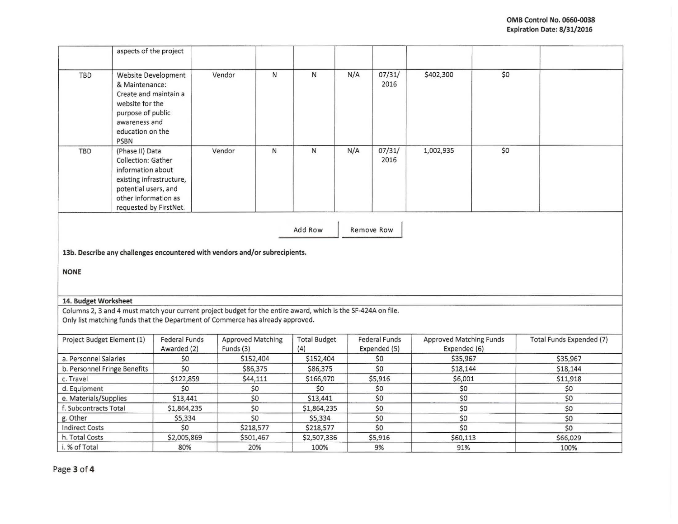|                                                                                                                                                                                                 | aspects of the project                                                                                                                                           |                                                                             |                                       |           |                            |     |                                      |                                                |     |                          |
|-------------------------------------------------------------------------------------------------------------------------------------------------------------------------------------------------|------------------------------------------------------------------------------------------------------------------------------------------------------------------|-----------------------------------------------------------------------------|---------------------------------------|-----------|----------------------------|-----|--------------------------------------|------------------------------------------------|-----|--------------------------|
| TBD                                                                                                                                                                                             | Website Development<br>& Maintenance:<br>Create and maintain a<br>website for the<br>purpose of public<br>awareness and<br>education on the<br><b>PSBN</b>       |                                                                             | Vendor                                | N         | N                          | N/A | 07/31/<br>2016                       | \$402,300                                      | \$0 |                          |
| TBD                                                                                                                                                                                             | (Phase II) Data<br>Collection: Gather<br>information about<br>existing infrastructure,<br>potential users, and<br>other information as<br>requested by FirstNet. |                                                                             | Vendor                                | ${\sf N}$ | ${\sf N}$                  | N/A | 07/31/<br>2016                       | 1,002,935                                      | \$0 |                          |
| Add Row<br>Remove Row                                                                                                                                                                           |                                                                                                                                                                  |                                                                             |                                       |           |                            |     |                                      |                                                |     |                          |
|                                                                                                                                                                                                 |                                                                                                                                                                  | 13b. Describe any challenges encountered with vendors and/or subrecipients. |                                       |           |                            |     |                                      |                                                |     |                          |
| <b>NONE</b>                                                                                                                                                                                     |                                                                                                                                                                  |                                                                             |                                       |           |                            |     |                                      |                                                |     |                          |
| 14. Budget Worksheet                                                                                                                                                                            |                                                                                                                                                                  |                                                                             |                                       |           |                            |     |                                      |                                                |     |                          |
|                                                                                                                                                                                                 |                                                                                                                                                                  |                                                                             |                                       |           |                            |     |                                      |                                                |     |                          |
| Columns 2, 3 and 4 must match your current project budget for the entire award, which is the SF-424A on file.<br>Only list matching funds that the Department of Commerce has already approved. |                                                                                                                                                                  |                                                                             |                                       |           |                            |     |                                      |                                                |     |                          |
| Project Budget Element (1)                                                                                                                                                                      |                                                                                                                                                                  | <b>Federal Funds</b><br>Awarded (2)                                         | <b>Approved Matching</b><br>Funds (3) |           | <b>Total Budget</b><br>(4) |     | <b>Federal Funds</b><br>Expended (5) | <b>Approved Matching Funds</b><br>Expended (6) |     | Total Funds Expended (7) |
| a. Personnel Salaries                                                                                                                                                                           |                                                                                                                                                                  | \$0                                                                         | \$152,404                             |           | \$152,404                  |     | \$0                                  | \$35,967                                       |     | \$35,967                 |
| b. Personnel Fringe Benefits                                                                                                                                                                    |                                                                                                                                                                  | \$0                                                                         | \$86,375                              |           | \$86,375                   |     | \$0                                  | \$18,144                                       |     | \$18,144                 |
| c. Travel                                                                                                                                                                                       |                                                                                                                                                                  | \$122,859                                                                   | \$44,111                              |           | \$166,970                  |     | \$5,916                              | \$6,001                                        |     | \$11,918                 |
| d. Equipment                                                                                                                                                                                    |                                                                                                                                                                  | \$0                                                                         | \$0                                   |           | \$0                        |     | \$0                                  | \$0                                            |     | \$0                      |
| e. Materials/Supplies                                                                                                                                                                           |                                                                                                                                                                  | \$13,441                                                                    | \$0                                   |           | \$13,441                   |     | \$0                                  | \$0                                            |     | \$0                      |
| f. Subcontracts Total                                                                                                                                                                           |                                                                                                                                                                  | \$1,864,235                                                                 | \$0                                   |           | \$1,864,235                |     | \$0                                  | \$0                                            |     | \$0                      |
| g. Other                                                                                                                                                                                        |                                                                                                                                                                  | \$5,334                                                                     | \$0                                   |           | \$5,334                    |     | \$0                                  | \$0                                            |     | \$0                      |
| <b>Indirect Costs</b>                                                                                                                                                                           |                                                                                                                                                                  | \$0                                                                         | \$218,577                             |           | \$218,577                  |     | \$0                                  | \$0                                            |     | \$0                      |
| h. Total Costs                                                                                                                                                                                  |                                                                                                                                                                  | \$2,005,869                                                                 | \$501,467                             |           | \$2,507,336                |     | \$5,916                              | \$60,113                                       |     | \$66,029                 |
| i. % of Total                                                                                                                                                                                   |                                                                                                                                                                  | 80%                                                                         | 20%                                   |           | 100%                       |     | 9%                                   | 91%                                            |     | 100%                     |